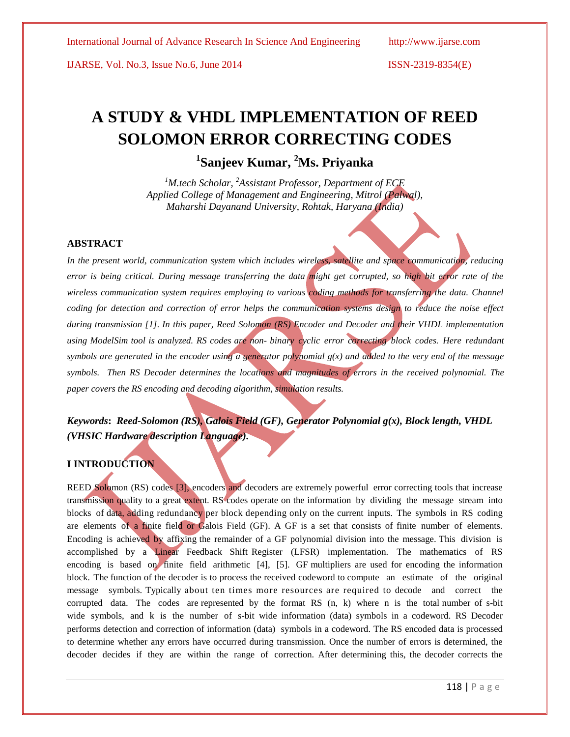IJARSE, Vol. No.3, Issue No.6, June 2014 ISSN-2319-8354(E)

# **A STUDY & VHDL IMPLEMENTATION OF REED SOLOMON ERROR CORRECTING CODES**

# **1 Sanjeev Kumar, <sup>2</sup>Ms. Priyanka**

*<sup>1</sup>M.tech Scholar, <sup>2</sup>Assistant Professor, Department of ECE Applied College of Management and Engineering, Mitrol (Palwal), Maharshi Dayanand University, Rohtak, Haryana (India)*

### **ABSTRACT**

*In the present world, communication system which includes wireless, satellite and space communication, reducing error is being critical. During message transferring the data might get corrupted, so high bit error rate of the wireless communication system requires employing to various coding methods for transferring the data. Channel coding for detection and correction of error helps the communication systems design to reduce the noise effect during transmission [1]. In this paper, Reed Solomon (RS) Encoder and Decoder and their VHDL implementation using ModelSim tool is analyzed. RS codes are non- binary cyclic error correcting block codes. Here redundant symbols are generated in the encoder using a generator polynomial g(x) and added to the very end of the message symbols. Then RS Decoder determines the locations and magnitudes of errors in the received polynomial. The paper covers the RS encoding and decoding algorithm, simulation results.*

## *Keywords***:** *Reed-Solomon (RS), Galois Field (GF), Generator Polynomial g(x), Block length, VHDL (VHSIC Hardware description Language).*

### **I INTRODUCTION**

REED Solomon (RS) codes [3], encoders and decoders are extremely powerful error correcting tools that increase transmission quality to a great extent. RS codes operate on the information by dividing the message stream into blocks of data, adding redundancy per block depending only on the current inputs. The symbols in RS coding are elements of a finite field or Galois Field (GF). A GF is a set that consists of finite number of elements. Encoding is achieved by affixing the remainder of a GF polynomial division into the message. This division is accomplished by a Linear Feedback Shift Register (LFSR) implementation. The mathematics of RS encoding is based on finite field arithmetic [4], [5]. GF multipliers are used for encoding the information block. The function of the decoder is to process the received codeword to compute an estimate of the original message symbols. Typically about ten times more resources are required to decode and correct the corrupted data. The codes are represented by the format RS (n, k) where n is the total number of s-bit wide symbols, and k is the number of s-bit wide information (data) symbols in a codeword. RS Decoder performs detection and correction of information (data) symbols in a codeword. The RS encoded data is processed to determine whether any errors have occurred during transmission. Once the number of errors is determined, the decoder decides if they are within the range of correction. After determining this, the decoder corrects the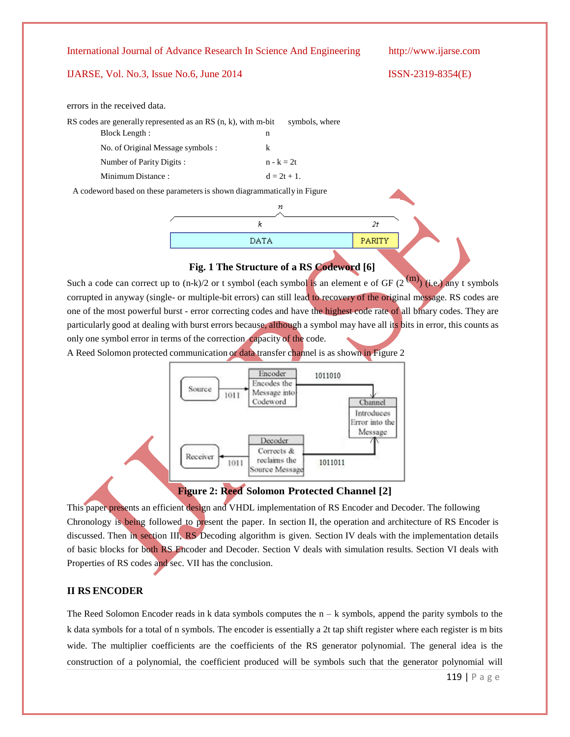### IJARSE, Vol. No.3, Issue No.6, June 2014 ISSN-2319-8354(E)

errors in the received data.

| RS codes are generally represented as an RS $(n, k)$ , with m-bit        | symbols, where |  |  |  |  |  |
|--------------------------------------------------------------------------|----------------|--|--|--|--|--|
| Block Length:                                                            | n              |  |  |  |  |  |
| No. of Original Message symbols :                                        | k              |  |  |  |  |  |
| Number of Parity Digits:                                                 | $n - k = 2t$   |  |  |  |  |  |
| Minimum Distance:                                                        | $d = 2t + 1$ . |  |  |  |  |  |
| A codeword based on these parameters is shown diagrammatically in Figure |                |  |  |  |  |  |
|                                                                          |                |  |  |  |  |  |



### **Fig. 1 The Structure of a RS Codeword [6]**

Such a code can correct up to  $(n-k)/2$  or t symbol (each symbol is an element e of GF  $(2^{(m)})$  (i.e.) any t symbols corrupted in anyway (single- or multiple-bit errors) can still lead to recovery of the original message. RS codes are one of the most powerful burst - error correcting codes and have the highest code rate of all binary codes. They are particularly good at dealing with burst errors because, although a symbol may have all its bits in error, this counts as only one symbol error in terms of the correction capacity of the code.

A Reed Solomon protected communication or data transfer channel is as shown in Figure 2



**Figure 2: Reed Solomon Protected Channel [2]**

This paper presents an efficient design and VHDL implementation of RS Encoder and Decoder. The following Chronology is being followed to present the paper. In section II, the operation and architecture of RS Encoder is discussed. Then in section III, RS Decoding algorithm is given. Section IV deals with the implementation details of basic blocks for both RS Encoder and Decoder. Section V deals with simulation results. Section VI deals with Properties of RS codes and sec. VII has the conclusion.

### **II RS ENCODER**

The Reed Solomon Encoder reads in k data symbols computes the  $n - k$  symbols, append the parity symbols to the k data symbols for a total of n symbols. The encoder is essentially a 2t tap shift register where each register is m bits wide. The multiplier coefficients are the coefficients of the RS generator polynomial. The general idea is the construction of a polynomial, the coefficient produced will be symbols such that the generator polynomial will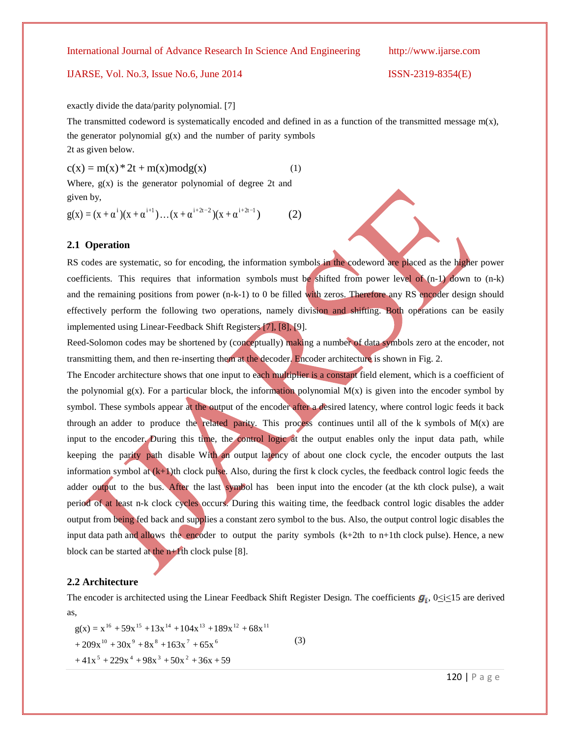### IJARSE, Vol. No.3, Issue No.6, June 2014 ISSN-2319-8354(E)

exactly divide the data/parity polynomial. [7]

The transmitted codeword is systematically encoded and defined in as a function of the transmitted message  $m(x)$ , the generator polynomial  $g(x)$  and the number of parity symbols 2t as given below.

 $c(x) = m(x) * 2t + m(x) mod g(x)$  (1)

Where,  $g(x)$  is the generator polynomial of degree 2t and given by,

$$
g(x) = (x + \alpha^{i})(x + \alpha^{i+1}) \dots (x + \alpha^{i+2t-2})(x + \alpha^{i+2t-1})
$$
 (2)

### **2.1 Operation**

RS codes are systematic, so for encoding, the information symbols in the codeword are placed as the higher power coefficients. This requires that information symbols must be shifted from power level of  $(n-1)$  down to  $(n-k)$ and the remaining positions from power (n-k-1) to 0 be filled with zeros. Therefore any RS encoder design should effectively perform the following two operations, namely division and shifting. Both operations can be easily implemented using Linear-Feedback Shift Registers [7], [8], [9].

Reed-Solomon codes may be shortened by (conceptually) making a number of data symbols zero at the encoder, not transmitting them, and then re-inserting them at the decoder. Encoder architecture is shown in Fig. 2.

The Encoder architecture shows that one input to each multiplier is a constant field element, which is a coefficient of the polynomial  $g(x)$ . For a particular block, the information polynomial  $M(x)$  is given into the encoder symbol by symbol. These symbols appear at the output of the encoder after a desired latency, where control logic feeds it back through an adder to produce the related parity. This process continues until all of the k symbols of  $M(x)$  are input to the encoder. During this time, the control logic at the output enables only the input data path, while keeping the parity path disable With an output latency of about one clock cycle, the encoder outputs the last information symbol at  $(k+1)$ th clock pulse. Also, during the first k clock cycles, the feedback control logic feeds the adder output to the bus. After the last symbol has been input into the encoder (at the kth clock pulse), a wait period of at least n-k clock cycles occurs. During this waiting time, the feedback control logic disables the adder output from being fed back and supplies a constant zero symbol to the bus. Also, the output control logic disables the input data path and allows the encoder to output the parity symbols  $(k+2th$  to n+1th clock pulse). Hence, a new block can be started at the  $n+1$ th clock pulse [8].

### **2.2 Architecture**

The encoder is architected using the Linear Feedback Shift Register Design. The coefficients  $g_i$ ,  $0 \le i \le 15$  are derived as,

 $g(x) = x^{16} + 59x^{15} + 13x^{14} + 104x^{13} + 189x^{12} + 68x^{11}$  $+ 209x^{10} + 30x^9 + 8x^8 + 163x^7 + 65x^6$  (3)  $+41x^5+229x^4+98x^3+50x^2+36x+59$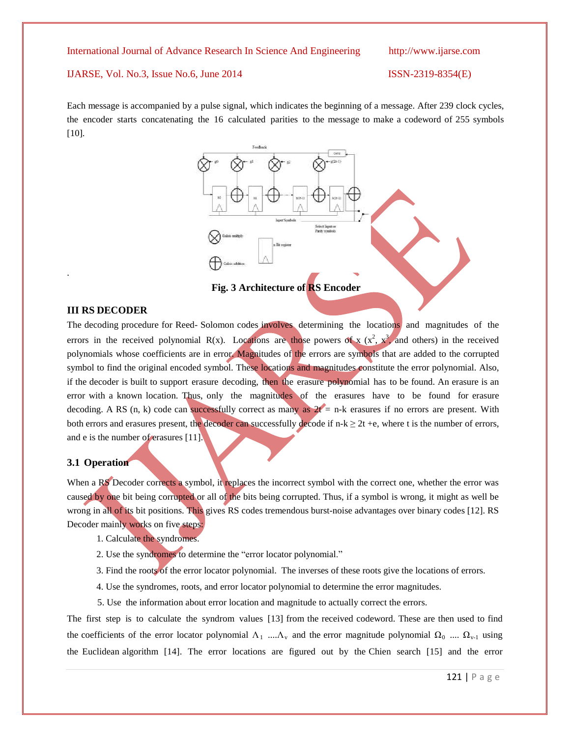### IJARSE, Vol. No.3, Issue No.6, June 2014 ISSN-2319-8354(E)

Each message is accompanied by a pulse signal, which indicates the beginning of a message. After 239 clock cycles, the encoder starts concatenating the 16 calculated parities to the message to make a codeword of 255 symbols [10].



**Fig. 3 Architecture of RS Encoder**

### **III RS DECODER**

.

The decoding procedure for Reed- Solomon codes involves determining the locations and magnitudes of the errors in the received polynomial R(x). Locations are those powers of x  $(x^2, x^3)$  and others) in the received polynomials whose coefficients are in error. Magnitudes of the errors are symbols that are added to the corrupted symbol to find the original encoded symbol. These locations and magnitudes constitute the error polynomial. Also, if the decoder is built to support erasure decoding, then the erasure polynomial has to be found. An erasure is an error with a known location. Thus, only the magnitudes of the erasures have to be found for erasure decoding. A RS (n, k) code can successfully correct as many as  $2t = n-k$  erasures if no errors are present. With both errors and erasures present, the decoder can successfully decode if  $n-k \geq 2t + e$ , where t is the number of errors, and e is the number of erasures [11].

### **3.1 Operation**

When a RS Decoder corrects a symbol, it replaces the incorrect symbol with the correct one, whether the error was caused by one bit being corrupted or all of the bits being corrupted. Thus, if a symbol is wrong, it might as well be wrong in all of its bit positions. This gives RS codes tremendous burst-noise advantages over binary codes [12]. RS Decoder mainly works on five steps:

- 1. Calculate the syndromes.
- 2. Use the syndromes to determine the "error locator polynomial."
- 3. Find the roots of the error locator polynomial. The inverses of these roots give the locations of errors.
- 4. Use the syndromes, roots, and error locator polynomial to determine the error magnitudes.
- 5. Use the information about error location and magnitude to actually correct the errors.

The first step is to calculate the syndrom values [13] from the received codeword. These are then used to find the coefficients of the error locator polynomial  $\Lambda_1$  .... $\Lambda_v$  and the error magnitude polynomial  $\Omega_0$  ....  $\Omega_{v-1}$  using the Euclidean algorithm [14]. The error locations are figured out by the Chien search [15] and the error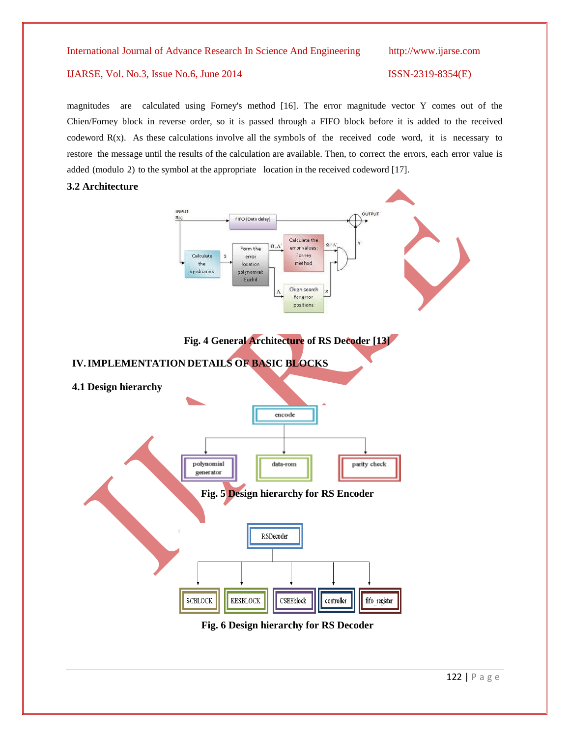### IJARSE, Vol. No.3, Issue No.6, June 2014 ISSN-2319-8354(E)

magnitudes are calculated using Forney's method [16]. The error magnitude vector Y comes out of the Chien/Forney block in reverse order, so it is passed through a FIFO block before it is added to the received codeword R(x). As these calculations involve all the symbols of the received code word, it is necessary to restore the message until the results of the calculation are available. Then, to correct the errors, each error value is added (modulo 2) to the symbol at the appropriate location in the received codeword [17].

### **3.2 Architecture**

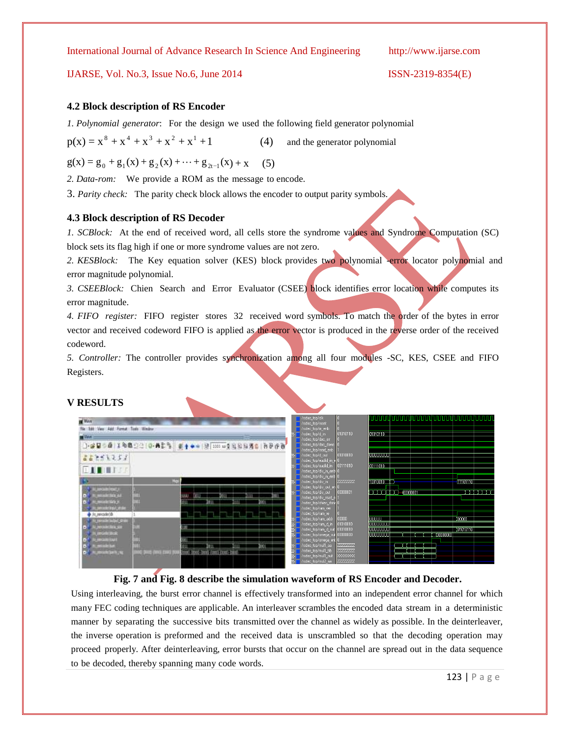### IJARSE, Vol. No.3, Issue No.6, June 2014 ISSN-2319-8354(E)

### **4.2 Block description of RS Encoder**

*1. Polynomial generator*: For the design we used the following field generator polynomial

 $p(x) = x^8 + x^4 + x^3 + x^2 + x^1$  $(4)$  and the generator polynomial

 $g(x) = g_0 + g_1(x) + g_2(x) + \cdots + g_{2t-1}(x) + x$  (5)

*2. Data-rom:* We provide a ROM as the message to encode.

3. *Parity check:* The parity check block allows the encoder to output parity symbols.

### **4.3 Block description of RS Decoder**

*1. SCBlock:* At the end of received word, all cells store the syndrome values and Syndrome Computation (SC) block sets its flag high if one or more syndrome values are not zero.

2. KESBlock: The Key equation solver (KES) block provides two polynomial -error locator polynomial and error magnitude polynomial.

*3. CSEEBlock:* Chien Search and Error Evaluator (CSEE) block identifies error location while computes its error magnitude.

*4. FIFO register:* FIFO register stores 32 received word symbols. To match the order of the bytes in error vector and received codeword FIFO is applied as the error vector is produced in the reverse order of the received codeword.

*5. Controller:* The controller provides synchronization among all four modules -SC, KES, CSEE and FIFO Registers.

### **V RESULTS**

| <b>IN WANT</b><br>File Edit View Add Furnal Train Window<br>$u =$                                              | 3-2010 8 200 22 0-42 3 8 4 - 3 20 2 3 3 3 4 8 8 9 8 |   |                                                  |             |    |      |      |  | //sdec_top/clk<br>//sdec_top/reset<br>//sdec_top/in_enb<br>//sdec_top/d_in<br>///sdec_top/dec_err<br>//sdec_top/dec_done<br>//sdec_top/read_enb                          | 01010110                                         | 01010110                                                                                                                           |           |
|----------------------------------------------------------------------------------------------------------------|-----------------------------------------------------|---|--------------------------------------------------|-------------|----|------|------|--|--------------------------------------------------------------------------------------------------------------------------------------------------------------------------|--------------------------------------------------|------------------------------------------------------------------------------------------------------------------------------------|-----------|
| 65741257<br><b>EITHER</b>                                                                                      |                                                     |   |                                                  |             |    |      |      |  | T- /rsdec_top/d_out<br>//sdec_top/euclid_in_e<br>//rsdec_top/euclid_in<br>//sdec_top/div_in_enbl <mark>0</mark>                                                          | 01010010<br>00111010                             | <b>UUUUUUU</b><br>00111010                                                                                                         |           |
| (Januarime)<br>computer their year<br><b>Litercode Mark 31</b><br>Literook/Ins/Little                          | <b>Sec</b>                                          | ш | ונש                                              | <b>Bott</b> | ш  | ונים | m    |  | //sdec_top/div_in_enb"C<br>F /rsdec_top/div_in<br>//sdec_top/div_out_en 0<br>T- /rsdec_top/div_out<br>//www.top/div_read_e<br>//sdec_top/chien_done<br>//sdec_top/ram_we | 77777777<br>00000001                             | 10010010<br>(11101110)<br>$\blacksquare$ $\blacksquare$ $\blacksquare$ $\blacksquare$ $\blacksquare$ $\blacksquare$ $\blacksquare$ | والماليات |
| di Japanese al di<br>Cressole bullet on the<br><b>U MECORATURE STR</b><br>Limodel Box<br><b>LIMIGAGE ASKET</b> |                                                     |   |                                                  |             |    |      |      |  | //sdec_top/ram_re<br>+ //sdec_top/ram_addr<br>/rsdec_top/ram_d_in<br>//sdec_top/ram_d_out<br>//sdec_top/omega_out 00000000<br>//sdec_top/omega_ent <mark>_</mark> 0      | 00000<br>01010010<br>01010010                    | UUUUU<br>100000<br><b>UUUUUUUU</b><br><b>UUUUUUUI</b><br>(01010110]<br>100000000<br>00000000                                       |           |
| considering<br><b>Umorklash, n</b>                                                                             | oog juun ahui eva eva                               |   | וופ<br>200801 580000 (30000) FORDOL 200881-50008 |             | łШ |      | 1001 |  | T- //sdec_top/mul1_aa<br>//sdec_top/mul1_bb<br>//sdec_top/mul1_out<br>/rsdec_top/mul2_aa                                                                                 | 77777777<br>77777772<br>xxxxxx<br>$\overline{Z}$ |                                                                                                                                    |           |

### **Fig. 7 and Fig. 8 describe the simulation waveform of RS Encoder and Decoder.**

Using interleaving, the burst error channel is effectively transformed into an independent error channel for which many FEC coding techniques are applicable. An interleaver scrambles the encoded data stream in a deterministic manner by separating the successive bits transmitted over the channel as widely as possible. In the deinterleaver, the inverse operation is preformed and the received data is unscrambled so that the decoding operation may proceed properly. After deinterleaving, error bursts that occur on the channel are spread out in the data sequence to be decoded, thereby spanning many code words.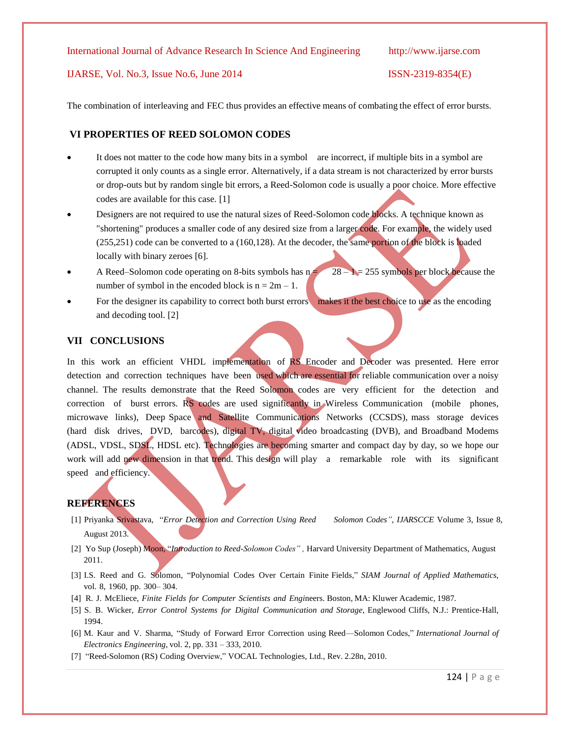### IJARSE, Vol. No.3, Issue No.6, June 2014 ISSN-2319-8354(E)

The combination of interleaving and FEC thus provides an effective means of combating the effect of error bursts.

### **VI PROPERTIES OF REED SOLOMON CODES**

- It does not matter to the code how many bits in a symbol are incorrect, if multiple bits in a symbol are corrupted it only counts as a single error. Alternatively, if a data stream is not characterized by error bursts or drop-outs but by random single bit errors, a Reed-Solomon code is usually a poor choice. More effective codes are available for this case. [1]
- Designers are not required to use the natural sizes of Reed-Solomon code blocks. A technique known as "shortening" produces a smaller code of any desired size from a larger code. For example, the widely used (255,251) code can be converted to a (160,128). At the decoder, the same portion of the block is loaded locally with binary zeroes [6].
- A Reed–Solomon code operating on 8-bits symbols has  $n = 28 1 = 255$  symbols per block because the number of symbol in the encoded block is  $n = 2m - 1$ .
- For the designer its capability to correct both burst errors makes it the best choice to use as the encoding and decoding tool. [2]

### **VII CONCLUSIONS**

In this work an efficient VHDL implementation of RS Encoder and Decoder was presented. Here error detection and correction techniques have been used which are essential for reliable communication over a noisy channel. The results demonstrate that the Reed Solomon codes are very efficient for the detection and correction of burst errors. RS codes are used significantly in Wireless Communication (mobile phones, microwave links), Deep Space and Satellite Communications Networks (CCSDS), mass storage devices (hard disk drives, DVD, barcodes), digital TV, digital video broadcasting (DVB), and Broadband Modems (ADSL, VDSL, SDSL, HDSL etc). Technologies are becoming smarter and compact day by day, so we hope our work will add new dimension in that trend. This design will play a remarkable role with its significant speed and efficiency.

### **REFERENCES**

- [1] Priyanka Srivastava, ―*Error Detection and Correction Using Reed Solomon Codes", IJARSCCE* Volume 3, Issue 8, August 2013.
- [2] Yo Sup (Joseph) Moon, "Introduction to Reed-Solomon Codes", Harvard University Department of Mathematics, August 2011.
- [3] I.S. Reed and G. Solomon, "Polynomial Codes Over Certain Finite Fields," SIAM Journal of Applied Mathematics, vol. 8, 1960, pp. 300– 304.
- [4] R. J. McEliece, *Finite Fields for Computer Scientists and Engi*neers. Boston*,* MA: Kluwer Academic*,* 1987*.*
- [5] S. B. Wicker, *Error Control Systems for Digital Communication and Storage*, Englewood Cliffs, N.J.: Prentice-Hall, 1994.
- [6] M. Kaur and V. Sharma, "Study of Forward Error Correction using Reed—Solomon Codes," *International Journal of Electronics Engineering*, vol. 2, pp. 331 – 333, 2010.
- [7] "Reed-Solomon (RS) Coding Overview," VOCAL Technologies, Ltd., Rev. 2.28n, 2010.